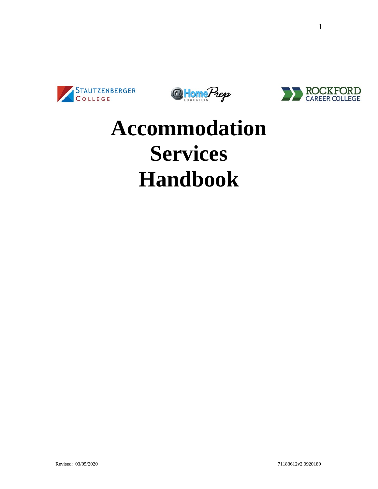





# **Accommodation Services Handbook**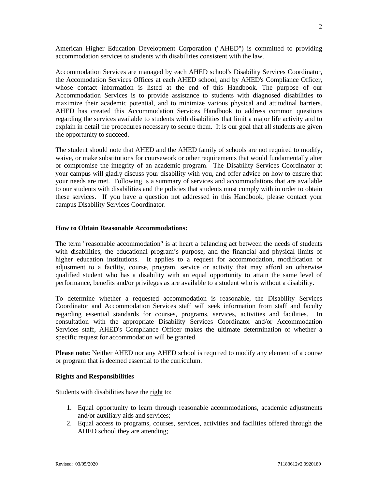American Higher Education Development Corporation ("AHED") is committed to providing accommodation services to students with disabilities consistent with the law.

Accommodation Services are managed by each AHED school's Disability Services Coordinator, the Accomodation Services Offices at each AHED school, and by AHED's Compliance Officer, whose contact information is listed at the end of this Handbook. The purpose of our Accommodation Services is to provide assistance to students with diagnosed disabilities to maximize their academic potential, and to minimize various physical and attitudinal barriers. AHED has created this Accommodation Services Handbook to address common questions regarding the services available to students with disabilities that limit a major life activity and to explain in detail the procedures necessary to secure them. It is our goal that all students are given the opportunity to succeed.

The student should note that AHED and the AHED family of schools are not required to modify, waive, or make substitutions for coursework or other requirements that would fundamentally alter or compromise the integrity of an academic program. The Disability Services Coordinator at your campus will gladly discuss your disability with you, and offer advice on how to ensure that your needs are met. Following is a summary of services and accommodations that are available to our students with disabilities and the policies that students must comply with in order to obtain these services. If you have a question not addressed in this Handbook, please contact your campus Disability Services Coordinator.

#### **How to Obtain Reasonable Accommodations:**

The term "reasonable accommodation" is at heart a balancing act between the needs of students with disabilities, the educational program's purpose, and the financial and physical limits of higher education institutions. It applies to a request for accommodation, modification or adjustment to a facility, course, program, service or activity that may afford an otherwise qualified student who has a disability with an equal opportunity to attain the same level of performance, benefits and/or privileges as are available to a student who is without a disability.

To determine whether a requested accommodation is reasonable, the Disability Services Coordinator and Accommodation Services staff will seek information from staff and faculty regarding essential standards for courses, programs, services, activities and facilities. In consultation with the appropriate Disability Services Coordinator and/or Accommodation Services staff, AHED's Compliance Officer makes the ultimate determination of whether a specific request for accommodation will be granted.

**Please note:** Neither AHED nor any AHED school is required to modify any element of a course or program that is deemed essential to the curriculum.

#### **Rights and Responsibilities**

Students with disabilities have the right to:

- 1. Equal opportunity to learn through reasonable accommodations, academic adjustments and/or auxiliary aids and services;
- 2. Equal access to programs, courses, services, activities and facilities offered through the AHED school they are attending;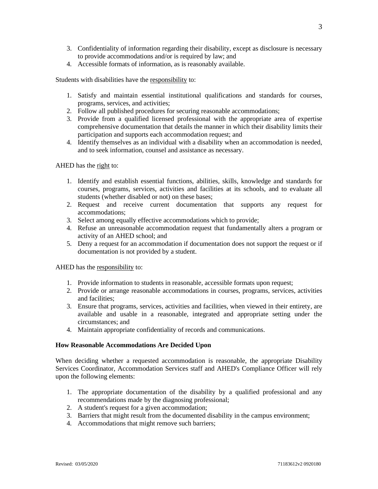- 3. Confidentiality of information regarding their disability, except as disclosure is necessary to provide accommodations and/or is required by law; and
- 4. Accessible formats of information, as is reasonably available.

Students with disabilities have the responsibility to:

- 1. Satisfy and maintain essential institutional qualifications and standards for courses, programs, services, and activities;
- 2. Follow all published procedures for securing reasonable accommodations;
- 3. Provide from a qualified licensed professional with the appropriate area of expertise comprehensive documentation that details the manner in which their disability limits their participation and supports each accommodation request; and
- 4. Identify themselves as an individual with a disability when an accommodation is needed, and to seek information, counsel and assistance as necessary.

AHED has the right to:

- 1. Identify and establish essential functions, abilities, skills, knowledge and standards for courses, programs, services, activities and facilities at its schools, and to evaluate all students (whether disabled or not) on these bases;
- 2. Request and receive current documentation that supports any request for accommodations;
- 3. Select among equally effective accommodations which to provide;
- 4. Refuse an unreasonable accommodation request that fundamentally alters a program or activity of an AHED school; and
- 5. Deny a request for an accommodation if documentation does not support the request or if documentation is not provided by a student.

AHED has the responsibility to:

- 1. Provide information to students in reasonable, accessible formats upon request;
- 2. Provide or arrange reasonable accommodations in courses, programs, services, activities and facilities;
- 3. Ensure that programs, services, activities and facilities, when viewed in their entirety, are available and usable in a reasonable, integrated and appropriate setting under the circumstances; and
- 4. Maintain appropriate confidentiality of records and communications.

#### **How Reasonable Accommodations Are Decided Upon**

When deciding whether a requested accommodation is reasonable, the appropriate Disability Services Coordinator, Accommodation Services staff and AHED's Compliance Officer will rely upon the following elements:

- 1. The appropriate documentation of the disability by a qualified professional and any recommendations made by the diagnosing professional;
- 2. A student's request for a given accommodation;
- 3. Barriers that might result from the documented disability in the campus environment;
- 4. Accommodations that might remove such barriers;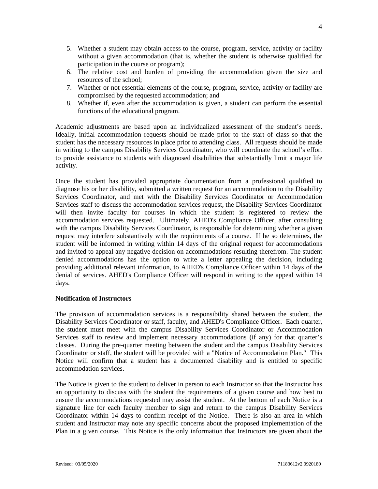- 5. Whether a student may obtain access to the course, program, service, activity or facility without a given accommodation (that is, whether the student is otherwise qualified for participation in the course or program);
- 6. The relative cost and burden of providing the accommodation given the size and resources of the school;
- 7. Whether or not essential elements of the course, program, service, activity or facility are compromised by the requested accommodation; and
- 8. Whether if, even after the accommodation is given, a student can perform the essential functions of the educational program.

Academic adjustments are based upon an individualized assessment of the student's needs. Ideally, initial accommodation requests should be made prior to the start of class so that the student has the necessary resources in place prior to attending class. All requests should be made in writing to the campus Disability Services Coordinator, who will coordinate the school's effort to provide assistance to students with diagnosed disabilities that substantially limit a major life activity.

Once the student has provided appropriate documentation from a professional qualified to diagnose his or her disability, submitted a written request for an accommodation to the Disability Services Coordinator, and met with the Disability Services Coordinator or Accommodation Services staff to discuss the accommodation services request, the Disability Services Coordinator will then invite faculty for courses in which the student is registered to review the accommodation services requested. Ultimately, AHED's Compliance Officer, after consulting with the campus Disability Services Coordinator, is responsible for determining whether a given request may interfere substantively with the requirements of a course. If he so determines, the student will be informed in writing within 14 days of the original request for accommodations and invited to appeal any negative decision on accommodations resulting therefrom. The student denied accommodations has the option to write a letter appealing the decision, including providing additional relevant information, to AHED's Compliance Officer within 14 days of the denial of services. AHED's Compliance Officer will respond in writing to the appeal within 14 days.

#### **Notification of Instructors**

The provision of accommodation services is a responsibility shared between the student, the Disability Services Coordinator or staff, faculty, and AHED's Compliance Officer. Each quarter, the student must meet with the campus Disability Services Coordinator or Accommodation Services staff to review and implement necessary accommodations (if any) for that quarter's classes. During the pre-quarter meeting between the student and the campus Disability Services Coordinator or staff, the student will be provided with a "Notice of Accommodation Plan." This Notice will confirm that a student has a documented disability and is entitled to specific accommodation services.

The Notice is given to the student to deliver in person to each Instructor so that the Instructor has an opportunity to discuss with the student the requirements of a given course and how best to ensure the accommodations requested may assist the student. At the bottom of each Notice is a signature line for each faculty member to sign and return to the campus Disability Services Coordinator within 14 days to confirm receipt of the Notice. There is also an area in which student and Instructor may note any specific concerns about the proposed implementation of the Plan in a given course. This Notice is the only information that Instructors are given about the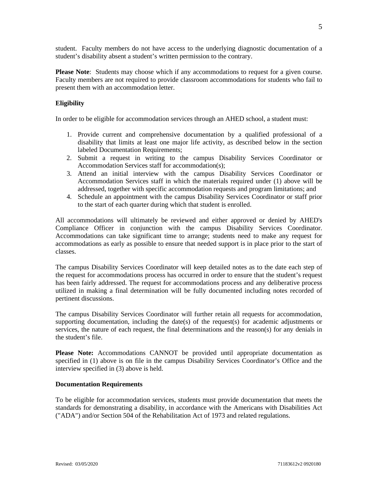student. Faculty members do not have access to the underlying diagnostic documentation of a student's disability absent a student's written permission to the contrary.

**Please Note**: Students may choose which if any accommodations to request for a given course. Faculty members are not required to provide classroom accommodations for students who fail to present them with an accommodation letter.

### **Eligibility**

In order to be eligible for accommodation services through an AHED school, a student must:

- 1. Provide current and comprehensive documentation by a qualified professional of a disability that limits at least one major life activity, as described below in the section labeled Documentation Requirements;
- 2. Submit a request in writing to the campus Disability Services Coordinator or Accommodation Services staff for accommodation(s);
- 3. Attend an initial interview with the campus Disability Services Coordinator or Accommodation Services staff in which the materials required under (1) above will be addressed, together with specific accommodation requests and program limitations; and
- 4. Schedule an appointment with the campus Disability Services Coordinator or staff prior to the start of each quarter during which that student is enrolled.

All accommodations will ultimately be reviewed and either approved or denied by AHED's Compliance Officer in conjunction with the campus Disability Services Coordinator. Accommodations can take significant time to arrange; students need to make any request for accommodations as early as possible to ensure that needed support is in place prior to the start of classes.

The campus Disability Services Coordinator will keep detailed notes as to the date each step of the request for accommodations process has occurred in order to ensure that the student's request has been fairly addressed. The request for accommodations process and any deliberative process utilized in making a final determination will be fully documented including notes recorded of pertinent discussions.

The campus Disability Services Coordinator will further retain all requests for accommodation, supporting documentation, including the date(s) of the request(s) for academic adjustments or services, the nature of each request, the final determinations and the reason(s) for any denials in the student's file.

**Please Note:** Accommodations CANNOT be provided until appropriate documentation as specified in (1) above is on file in the campus Disability Services Coordinator's Office and the interview specified in (3) above is held.

#### **Documentation Requirements**

To be eligible for accommodation services, students must provide documentation that meets the standards for demonstrating a disability, in accordance with the Americans with Disabilities Act ("ADA") and/or Section 504 of the Rehabilitation Act of 1973 and related regulations.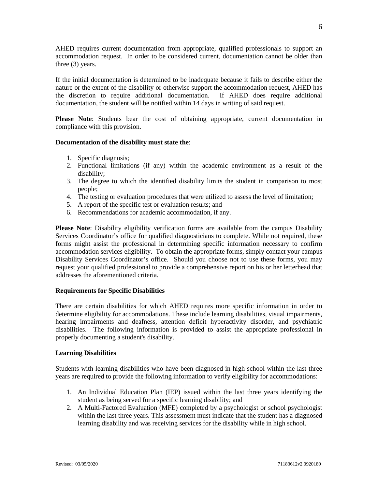AHED requires current documentation from appropriate, qualified professionals to support an accommodation request. In order to be considered current, documentation cannot be older than three (3) years.

If the initial documentation is determined to be inadequate because it fails to describe either the nature or the extent of the disability or otherwise support the accommodation request, AHED has the discretion to require additional documentation. If AHED does require additional documentation, the student will be notified within 14 days in writing of said request.

**Please Note**: Students bear the cost of obtaining appropriate, current documentation in compliance with this provision.

#### **Documentation of the disability must state the**:

- 1. Specific diagnosis;
- 2. Functional limitations (if any) within the academic environment as a result of the disability;
- 3. The degree to which the identified disability limits the student in comparison to most people;
- 4. The testing or evaluation procedures that were utilized to assess the level of limitation;
- 5. A report of the specific test or evaluation results; and
- 6. Recommendations for academic accommodation, if any.

**Please Note**: Disability eligibility verification forms are available from the campus Disability Services Coordinator's office for qualified diagnosticians to complete. While not required, these forms might assist the professional in determining specific information necessary to confirm accommodation services eligibility. To obtain the appropriate forms, simply contact your campus Disability Services Coordinator's office. Should you choose not to use these forms, you may request your qualified professional to provide a comprehensive report on his or her letterhead that addresses the aforementioned criteria.

#### **Requirements for Specific Disabilities**

There are certain disabilities for which AHED requires more specific information in order to determine eligibility for accommodations. These include learning disabilities, visual impairments, hearing impairments and deafness, attention deficit hyperactivity disorder, and psychiatric disabilities. The following information is provided to assist the appropriate professional in properly documenting a student's disability.

#### **Learning Disabilities**

Students with learning disabilities who have been diagnosed in high school within the last three years are required to provide the following information to verify eligibility for accommodations:

- 1. An Individual Education Plan (IEP) issued within the last three years identifying the student as being served for a specific learning disability; and
- 2. A Multi-Factored Evaluation (MFE) completed by a psychologist or school psychologist within the last three years. This assessment must indicate that the student has a diagnosed learning disability and was receiving services for the disability while in high school.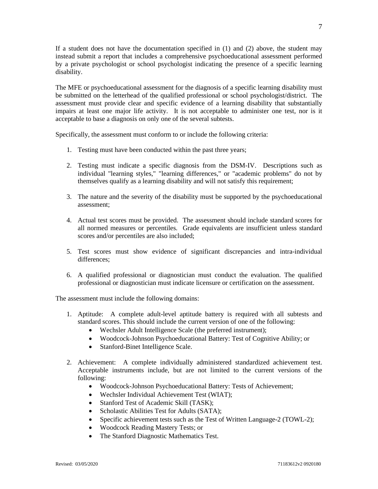If a student does not have the documentation specified in (1) and (2) above, the student may instead submit a report that includes a comprehensive psychoeducational assessment performed by a private psychologist or school psychologist indicating the presence of a specific learning disability.

The MFE or psychoeducational assessment for the diagnosis of a specific learning disability must be submitted on the letterhead of the qualified professional or school psychologist/district. The assessment must provide clear and specific evidence of a learning disability that substantially impairs at least one major life activity. It is not acceptable to administer one test, nor is it acceptable to base a diagnosis on only one of the several subtests.

Specifically, the assessment must conform to or include the following criteria:

- 1. Testing must have been conducted within the past three years;
- 2. Testing must indicate a specific diagnosis from the DSM-IV. Descriptions such as individual "learning styles," "learning differences," or "academic problems" do not by themselves qualify as a learning disability and will not satisfy this requirement;
- 3. The nature and the severity of the disability must be supported by the psychoeducational assessment;
- 4. Actual test scores must be provided. The assessment should include standard scores for all normed measures or percentiles. Grade equivalents are insufficient unless standard scores and/or percentiles are also included;
- 5. Test scores must show evidence of significant discrepancies and intra-individual differences;
- 6. A qualified professional or diagnostician must conduct the evaluation. The qualified professional or diagnostician must indicate licensure or certification on the assessment.

The assessment must include the following domains:

- 1. Aptitude: A complete adult-level aptitude battery is required with all subtests and standard scores. This should include the current version of one of the following:
	- Wechsler Adult Intelligence Scale (the preferred instrument);
	- Woodcock-Johnson Psychoeducational Battery: Test of Cognitive Ability; or
	- Stanford-Binet Intelligence Scale.
- 2. Achievement: A complete individually administered standardized achievement test. Acceptable instruments include, but are not limited to the current versions of the following:
	- Woodcock-Johnson Psychoeducational Battery: Tests of Achievement;
	- Wechsler Individual Achievement Test (WIAT);
	- Stanford Test of Academic Skill (TASK);
	- Scholastic Abilities Test for Adults (SATA);
	- Specific achievement tests such as the Test of Written Language-2 (TOWL-2);
	- Woodcock Reading Mastery Tests; or
	- The Stanford Diagnostic Mathematics Test.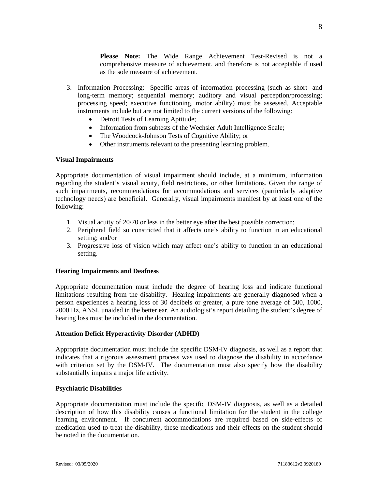**Please Note:** The Wide Range Achievement Test-Revised is not a comprehensive measure of achievement, and therefore is not acceptable if used as the sole measure of achievement.

- 3. Information Processing: Specific areas of information processing (such as short- and long-term memory; sequential memory; auditory and visual perception/processing; processing speed; executive functioning, motor ability) must be assessed. Acceptable instruments include but are not limited to the current versions of the following:
	- Detroit Tests of Learning Aptitude;
	- Information from subtests of the Wechsler Adult Intelligence Scale;
	- The Woodcock-Johnson Tests of Cognitive Ability; or
	- Other instruments relevant to the presenting learning problem.

### **Visual Impairments**

Appropriate documentation of visual impairment should include, at a minimum, information regarding the student's visual acuity, field restrictions, or other limitations. Given the range of such impairments, recommendations for accommodations and services (particularly adaptive technology needs) are beneficial. Generally, visual impairments manifest by at least one of the following:

- 1. Visual acuity of 20/70 or less in the better eye after the best possible correction;
- 2. Peripheral field so constricted that it affects one's ability to function in an educational setting; and/or
- 3. Progressive loss of vision which may affect one's ability to function in an educational setting.

## **Hearing Impairments and Deafness**

Appropriate documentation must include the degree of hearing loss and indicate functional limitations resulting from the disability. Hearing impairments are generally diagnosed when a person experiences a hearing loss of 30 decibels or greater, a pure tone average of 500, 1000, 2000 Hz, ANSI, unaided in the better ear. An audiologist's report detailing the student's degree of hearing loss must be included in the documentation.

#### **Attention Deficit Hyperactivity Disorder (ADHD)**

Appropriate documentation must include the specific DSM-IV diagnosis, as well as a report that indicates that a rigorous assessment process was used to diagnose the disability in accordance with criterion set by the DSM-IV. The documentation must also specify how the disability substantially impairs a major life activity.

#### **Psychiatric Disabilities**

Appropriate documentation must include the specific DSM-IV diagnosis, as well as a detailed description of how this disability causes a functional limitation for the student in the college learning environment. If concurrent accommodations are required based on side-effects of medication used to treat the disability, these medications and their effects on the student should be noted in the documentation.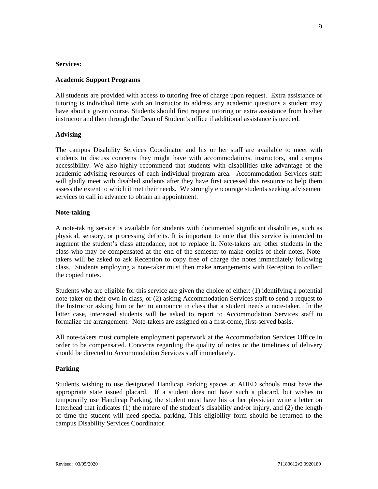#### **Services:**

#### **Academic Support Programs**

All students are provided with access to tutoring free of charge upon request. Extra assistance or tutoring is individual time with an Instructor to address any academic questions a student may have about a given course. Students should first request tutoring or extra assistance from his/her instructor and then through the Dean of Student's office if additional assistance is needed.

### **Advising**

The campus Disability Services Coordinator and his or her staff are available to meet with students to discuss concerns they might have with accommodations, instructors, and campus accessibility. We also highly recommend that students with disabilities take advantage of the academic advising resources of each individual program area. Accommodation Services staff will gladly meet with disabled students after they have first accessed this resource to help them assess the extent to which it met their needs. We strongly encourage students seeking advisement services to call in advance to obtain an appointment.

### **Note-taking**

A note-taking service is available for students with documented significant disabilities, such as physical, sensory, or processing deficits. It is important to note that this service is intended to augment the student's class attendance, not to replace it. Note-takers are other students in the class who may be compensated at the end of the semester to make copies of their notes. Notetakers will be asked to ask Reception to copy free of charge the notes immediately following class. Students employing a note-taker must then make arrangements with Reception to collect the copied notes.

Students who are eligible for this service are given the choice of either: (1) identifying a potential note-taker on their own in class, or (2) asking Accommodation Services staff to send a request to the Instructor asking him or her to announce in class that a student needs a note-taker. In the latter case, interested students will be asked to report to Accommodation Services staff to formalize the arrangement. Note-takers are assigned on a first-come, first-served basis.

All note-takers must complete employment paperwork at the Accommodation Services Office in order to be compensated. Concerns regarding the quality of notes or the timeliness of delivery should be directed to Accommodation Services staff immediately.

#### **Parking**

Students wishing to use designated Handicap Parking spaces at AHED schools must have the appropriate state issued placard. If a student does not have such a placard, but wishes to temporarily use Handicap Parking, the student must have his or her physician write a letter on letterhead that indicates (1) the nature of the student's disability and/or injury, and (2) the length of time the student will need special parking. This eligibility form should be returned to the campus Disability Services Coordinator.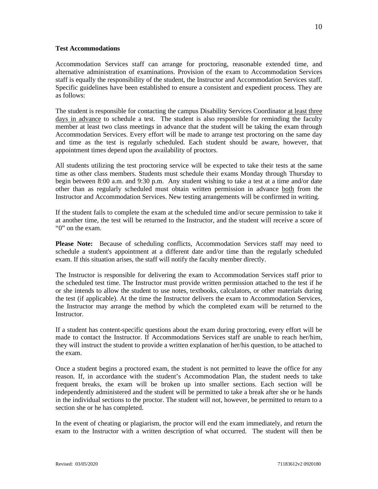#### **Test Accommodations**

Accommodation Services staff can arrange for proctoring, reasonable extended time, and alternative administration of examinations. Provision of the exam to Accommodation Services staff is equally the responsibility of the student, the Instructor and Accommodation Services staff. Specific guidelines have been established to ensure a consistent and expedient process. They are as follows:

The student is responsible for contacting the campus Disability Services Coordinator at least three days in advance to schedule a test. The student is also responsible for reminding the faculty member at least two class meetings in advance that the student will be taking the exam through Accommodation Services. Every effort will be made to arrange test proctoring on the same day and time as the test is regularly scheduled. Each student should be aware, however, that appointment times depend upon the availability of proctors.

All students utilizing the test proctoring service will be expected to take their tests at the same time as other class members. Students must schedule their exams Monday through Thursday to begin between 8:00 a.m. and 9:30 p.m. Any student wishing to take a test at a time and/or date other than as regularly scheduled must obtain written permission in advance both from the Instructor and Accommodation Services. New testing arrangements will be confirmed in writing.

If the student fails to complete the exam at the scheduled time and/or secure permission to take it at another time, the test will be returned to the Instructor, and the student will receive a score of "0" on the exam.

**Please Note:** Because of scheduling conflicts, Accommodation Services staff may need to schedule a student's appointment at a different date and/or time than the regularly scheduled exam. If this situation arises, the staff will notify the faculty member directly.

The Instructor is responsible for delivering the exam to Accommodation Services staff prior to the scheduled test time. The Instructor must provide written permission attached to the test if he or she intends to allow the student to use notes, textbooks, calculators, or other materials during the test (if applicable). At the time the Instructor delivers the exam to Accommodation Services, the Instructor may arrange the method by which the completed exam will be returned to the Instructor.

If a student has content-specific questions about the exam during proctoring, every effort will be made to contact the Instructor. If Accommodations Services staff are unable to reach her/him, they will instruct the student to provide a written explanation of her/his question, to be attached to the exam.

Once a student begins a proctored exam, the student is not permitted to leave the office for any reason. If, in accordance with the student's Accommodation Plan, the student needs to take frequent breaks, the exam will be broken up into smaller sections. Each section will be independently administered and the student will be permitted to take a break after she or he hands in the individual sections to the proctor. The student will not, however, be permitted to return to a section she or he has completed.

In the event of cheating or plagiarism, the proctor will end the exam immediately, and return the exam to the Instructor with a written description of what occurred. The student will then be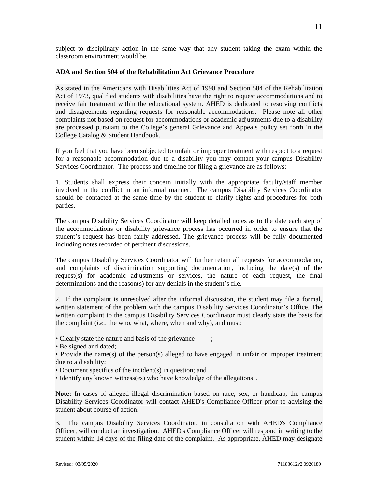subject to disciplinary action in the same way that any student taking the exam within the classroom environment would be.

### **ADA and Section 504 of the Rehabilitation Act Grievance Procedure**

As stated in the Americans with Disabilities Act of 1990 and Section 504 of the Rehabilitation Act of 1973, qualified students with disabilities have the right to request accommodations and to receive fair treatment within the educational system. AHED is dedicated to resolving conflicts and disagreements regarding requests for reasonable accommodations. Please note all other complaints not based on request for accommodations or academic adjustments due to a disability are processed pursuant to the College's general Grievance and Appeals policy set forth in the College Catalog & Student Handbook.

If you feel that you have been subjected to unfair or improper treatment with respect to a request for a reasonable accommodation due to a disability you may contact your campus Disability Services Coordinator. The process and timeline for filing a grievance are as follows:

1. Students shall express their concern initially with the appropriate faculty/staff member involved in the conflict in an informal manner. The campus Disability Services Coordinator should be contacted at the same time by the student to clarify rights and procedures for both parties.

The campus Disability Services Coordinator will keep detailed notes as to the date each step of the accommodations or disability grievance process has occurred in order to ensure that the student's request has been fairly addressed. The grievance process will be fully documented including notes recorded of pertinent discussions.

The campus Disability Services Coordinator will further retain all requests for accommodation, and complaints of discrimination supporting documentation, including the date(s) of the request(s) for academic adjustments or services, the nature of each request, the final determinations and the reason(s) for any denials in the student's file.

2. If the complaint is unresolved after the informal discussion, the student may file a formal, written statement of the problem with the campus Disability Services Coordinator's Office. The written complaint to the campus Disability Services Coordinator must clearly state the basis for the complaint (*i.e.*, the who, what, where, when and why), and must:

- Clearly state the nature and basis of the grievance
- Be signed and dated;

• Provide the name(s) of the person(s) alleged to have engaged in unfair or improper treatment due to a disability;

- Document specifics of the incident(s) in question; and
- Identify any known witness(es) who have knowledge of the allegations .

**Note:** In cases of alleged illegal discrimination based on race, sex, or handicap, the campus Disability Services Coordinator will contact AHED's Compliance Officer prior to advising the student about course of action.

3. The campus Disability Services Coordinator, in consultation with AHED's Compliance Officer, will conduct an investigation. AHED's Compliance Officer will respond in writing to the student within 14 days of the filing date of the complaint. As appropriate, AHED may designate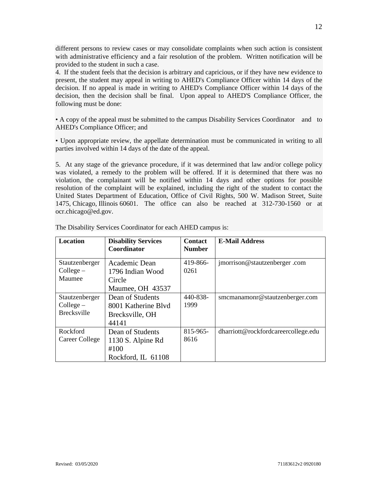different persons to review cases or may consolidate complaints when such action is consistent with administrative efficiency and a fair resolution of the problem. Written notification will be provided to the student in such a case.

4. If the student feels that the decision is arbitrary and capricious, or if they have new evidence to present, the student may appeal in writing to AHED's Compliance Officer within 14 days of the decision. If no appeal is made in writing to AHED's Compliance Officer within 14 days of the decision, then the decision shall be final. Upon appeal to AHED'S Compliance Officer, the following must be done:

• A copy of the appeal must be submitted to the campus Disability Services Coordinator and to AHED's Compliance Officer; and

• Upon appropriate review, the appellate determination must be communicated in writing to all parties involved within 14 days of the date of the appeal.

5. At any stage of the grievance procedure, if it was determined that law and/or college policy was violated, a remedy to the problem will be offered. If it is determined that there was no violation, the complainant will be notified within 14 days and other options for possible resolution of the complaint will be explained, including the right of the student to contact the United States Department of Education, Office of Civil Rights, 500 W. Madison Street, Suite 1475, Chicago, Illinois 60601. The office can also be reached at 312-730-1560 or at ocr.chicago@ed.gov.

| <b>Location</b>                                   | <b>Disability Services</b><br>Coordinator                           | <b>Contact</b><br><b>Number</b> | <b>E-Mail Address</b>               |
|---------------------------------------------------|---------------------------------------------------------------------|---------------------------------|-------------------------------------|
| Stautzenberger<br>Collect –<br>Maumee             | Academic Dean<br>1796 Indian Wood<br>Circle<br>Maumee, OH 43537     | 419-866-<br>0261                | jmorrison@stautzenberger.com        |
| Stautzenberger<br>Collect –<br><b>Brecksville</b> | Dean of Students<br>8001 Katherine Blyd<br>Brecksville, OH<br>44141 | 440-838-<br>1999                | smcmanamonr@stautzenberger.com      |
| Rockford<br>Career College                        | Dean of Students<br>1130 S. Alpine Rd<br>#100<br>Rockford, IL 61108 | 815-965-<br>8616                | dharriott@rockfordcareercollege.edu |

The Disability Services Coordinator for each AHED campus is: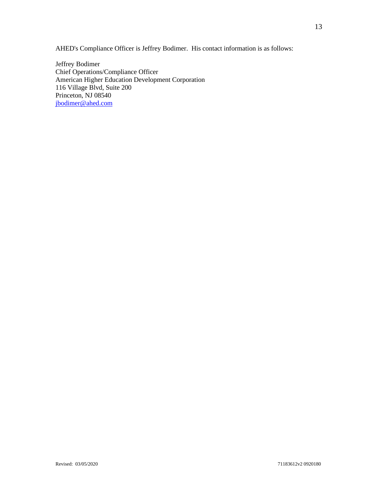AHED's Compliance Officer is Jeffrey Bodimer. His contact information is as follows:

Jeffrey Bodimer Chief Operations/Compliance Officer American Higher Education Development Corporation 116 Village Blvd, Suite 200 Princeton, NJ 08540 [jbodimer@ahed.com](mailto:jbodimer@ahed.com)